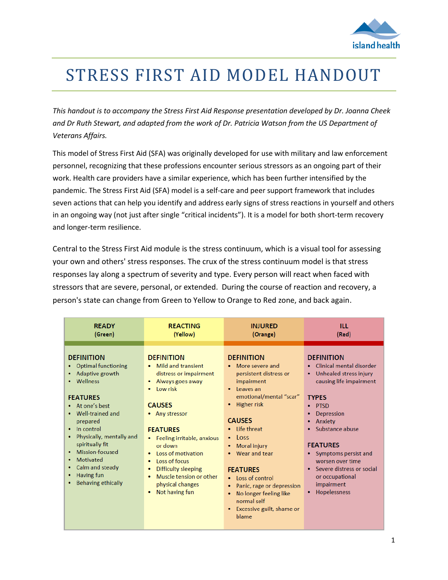

# STRESS FIRST AID MODEL HANDOUT

*This handout is to accompany the Stress First Aid Response presentation developed by Dr. Joanna Cheek and Dr Ruth Stewart, and adapted from the work of Dr. Patricia Watson from the US Department of Veterans Affairs.*

This model of Stress First Aid (SFA) was originally developed for use with military and law enforcement personnel, recognizing that these professions encounter serious stressors as an ongoing part of their work. Health care providers have a similar experience, which has been further intensified by the pandemic. The Stress First Aid (SFA) model is a self-care and peer support framework that includes seven actions that can help you identify and address early signs of stress reactions in yourself and others in an ongoing way (not just after single "critical incidents"). It is a model for both short-term recovery and longer-term resilience.

Central to the Stress First Aid module is the stress continuum, which is a visual tool for assessing your own and others' stress responses. The crux of the stress continuum model is that stress responses lay along a spectrum of severity and type. Every person will react when faced with stressors that are severe, personal, or extended. During the course of reaction and recovery, a person's state can change from Green to Yellow to Orange to Red zone, and back again.

| <b>READY</b>                                                                                                                                                                                                                                                                                                                                | <b>REACTING</b>                                                                                                                                                                                                                                                                                                                                               | <b>INJURED</b>                                                                                                                                                                                                                                                                                                                                                                                                      | ILL                                                                                                                                                                                                                                                                                                                            |
|---------------------------------------------------------------------------------------------------------------------------------------------------------------------------------------------------------------------------------------------------------------------------------------------------------------------------------------------|---------------------------------------------------------------------------------------------------------------------------------------------------------------------------------------------------------------------------------------------------------------------------------------------------------------------------------------------------------------|---------------------------------------------------------------------------------------------------------------------------------------------------------------------------------------------------------------------------------------------------------------------------------------------------------------------------------------------------------------------------------------------------------------------|--------------------------------------------------------------------------------------------------------------------------------------------------------------------------------------------------------------------------------------------------------------------------------------------------------------------------------|
| (Green)                                                                                                                                                                                                                                                                                                                                     | (Yellow)                                                                                                                                                                                                                                                                                                                                                      | (Orange)                                                                                                                                                                                                                                                                                                                                                                                                            | (Red)                                                                                                                                                                                                                                                                                                                          |
| <b>DEFINITION</b><br>• Optimal functioning<br>Adaptive growth<br>٠<br>Wellness<br><b>FEATURES</b><br>• At one's best<br>Well-trained and<br>$\bullet$<br>prepared<br>$\bullet$ In control<br>Physically, mentally and<br>spiritually fit<br>Mission-focused<br>Motivated<br>٠<br>Calm and steady<br>Having fun<br><b>Behaving ethically</b> | <b>DEFINITION</b><br>Mild and transient<br>٠<br>distress or impairment<br>Always goes away<br>٠<br>Low risk<br><b>CAUSES</b><br>• Any stressor<br><b>FEATURES</b><br>Feeling irritable, anxious<br>or down<br>Loss of motivation<br>۰<br>Loss of focus<br>٠<br>Difficulty sleeping<br>٠<br>Muscle tension or other<br>٠<br>physical changes<br>Not having fun | <b>DEFINITION</b><br>More severe and<br>persistent distress or<br>impairment<br>Leaves an<br>emotional/mental "scar"<br><b>Higher risk</b><br><b>CAUSES</b><br>• Life threat<br><b>LOSS</b><br>$\bullet$<br><b>Moral injury</b><br>Wear and tear<br><b>FEATURES</b><br>• Loss of control<br>Panic, rage or depression<br>٠<br>No longer feeling like<br>٠<br>normal self<br>Excessive guilt, shame or<br>٠<br>blame | <b>DEFINITION</b><br>Clinical mental disorder<br>Unhealed stress injury<br>causing life impairment<br><b>TYPES</b><br><b>PTSD</b><br>Depression<br>Anxiety<br>Substance abuse<br><b>FEATURES</b><br>• Symptoms persist and<br>worsen over time<br>• Severe distress or social<br>or occupational<br>impairment<br>Hopelessness |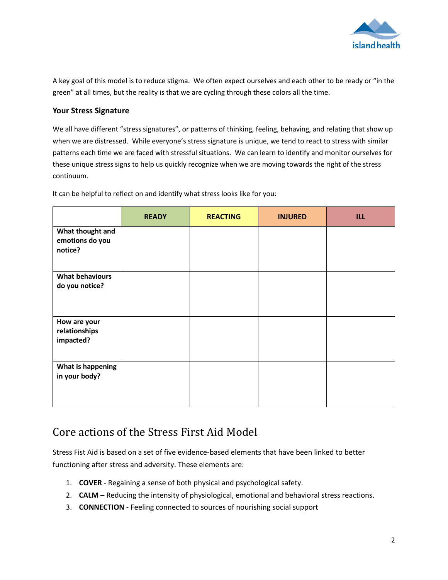

A key goal of this model is to reduce stigma. We often expect ourselves and each other to be ready or "in the green" at all times, but the reality is that we are cycling through these colors all the time.

### **Your Stress Signature**

We all have different "stress signatures", or patterns of thinking, feeling, behaving, and relating that show up when we are distressed. While everyone's stress signature is unique, we tend to react to stress with similar patterns each time we are faced with stressful situations. We can learn to identify and monitor ourselves for these unique stress signs to help us quickly recognize when we are moving towards the right of the stress continuum.

|                                                | <b>READY</b> | <b>REACTING</b> | <b>INJURED</b> | <b>ILL</b> |
|------------------------------------------------|--------------|-----------------|----------------|------------|
| What thought and<br>emotions do you<br>notice? |              |                 |                |            |
| <b>What behaviours</b><br>do you notice?       |              |                 |                |            |
| How are your<br>relationships<br>impacted?     |              |                 |                |            |
| What is happening<br>in your body?             |              |                 |                |            |

It can be helpful to reflect on and identify what stress looks like for you:

### Core actions of the Stress First Aid Model

Stress Fist Aid is based on a set of five evidence-based elements that have been linked to better functioning after stress and adversity. These elements are:

- 1. **COVER** Regaining a sense of both physical and psychological safety.
- 2. **CALM** Reducing the intensity of physiological, emotional and behavioral stress reactions.
- 3. **CONNECTION** Feeling connected to sources of nourishing social support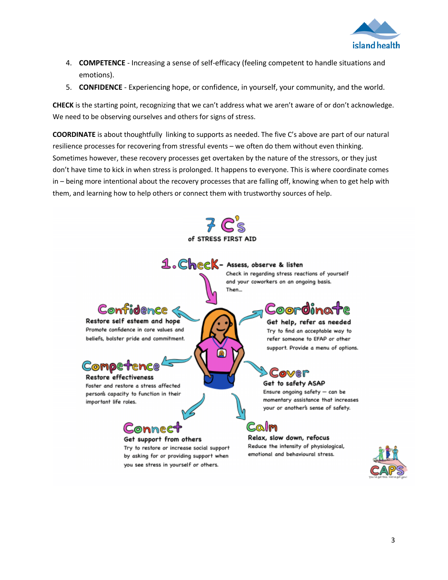

- 4. **COMPETENCE** Increasing a sense of self-efficacy (feeling competent to handle situations and emotions).
- 5. **CONFIDENCE** Experiencing hope, or confidence, in yourself, your community, and the world.

**CHECK** is the starting point, recognizing that we can't address what we aren't aware of or don't acknowledge. We need to be observing ourselves and others for signs of stress.

**COORDINATE** is about thoughtfully linking to supports as needed. The five C's above are part of our natural resilience processes for recovering from stressful events – we often do them without even thinking. Sometimes however, these recovery processes get overtaken by the nature of the stressors, or they just don't have time to kick in when stress is prolonged. It happens to everyone. This is where coordinate comes in – being more intentional about the recovery processes that are falling off, knowing when to get help with them, and learning how to help others or connect them with trustworthy sources of help.

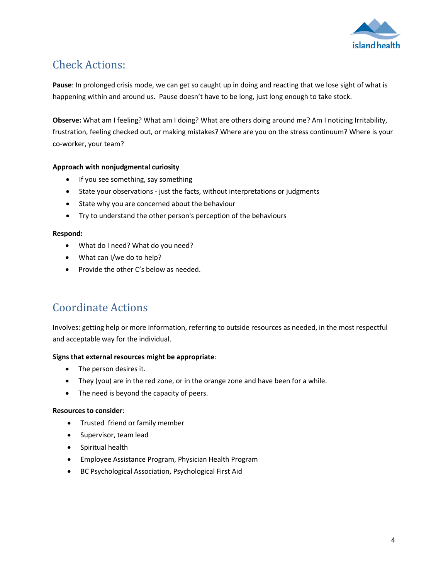

## Check Actions:

**Pause**: In prolonged crisis mode, we can get so caught up in doing and reacting that we lose sight of what is happening within and around us. Pause doesn't have to be long, just long enough to take stock.

**Observe:** What am I feeling? What am I doing? What are others doing around me? Am I noticing Irritability, frustration, feeling checked out, or making mistakes? Where are you on the stress continuum? Where is your co-worker, your team?

### **Approach with nonjudgmental curiosity**

- If you see something, say something
- State your observations just the facts, without interpretations or judgments
- State why you are concerned about the behaviour
- Try to understand the other person's perception of the behaviours

### **Respond:**

- What do I need? What do you need?
- What can I/we do to help?
- Provide the other C's below as needed.

### Coordinate Actions

Involves: getting help or more information, referring to outside resources as needed, in the most respectful and acceptable way for the individual.

### **Signs that external resources might be appropriate**:

- The person desires it.
- They (you) are in the red zone, or in the orange zone and have been for a while.
- The need is beyond the capacity of peers.

### **Resources to consider**:

- Trusted friend or family member
- Supervisor, team lead
- **•** Spiritual health
- Employee Assistance Program, Physician Health Program
- BC Psychological Association, Psychological First Aid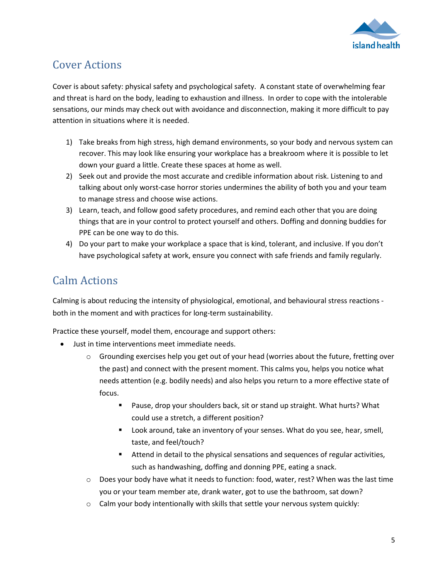

### Cover Actions

Cover is about safety: physical safety and psychological safety. A constant state of overwhelming fear and threat is hard on the body, leading to exhaustion and illness. In order to cope with the intolerable sensations, our minds may check out with avoidance and disconnection, making it more difficult to pay attention in situations where it is needed.

- 1) Take breaks from high stress, high demand environments, so your body and nervous system can recover. This may look like ensuring your workplace has a breakroom where it is possible to let down your guard a little. Create these spaces at home as well.
- 2) Seek out and provide the most accurate and credible information about risk. Listening to and talking about only worst-case horror stories undermines the ability of both you and your team to manage stress and choose wise actions.
- 3) Learn, teach, and follow good safety procedures, and remind each other that you are doing things that are in your control to protect yourself and others. Doffing and donning buddies for PPE can be one way to do this.
- 4) Do your part to make your workplace a space that is kind, tolerant, and inclusive. If you don't have psychological safety at work, ensure you connect with safe friends and family regularly.

### Calm Actions

Calming is about reducing the intensity of physiological, emotional, and behavioural stress reactions both in the moment and with practices for long-term sustainability.

Practice these yourself, model them, encourage and support others:

- Just in time interventions meet immediate needs.
	- $\circ$  Grounding exercises help you get out of your head (worries about the future, fretting over the past) and connect with the present moment. This calms you, helps you notice what needs attention (e.g. bodily needs) and also helps you return to a more effective state of focus.
		- **Pause, drop your shoulders back, sit or stand up straight. What hurts? What** could use a stretch, a different position?
		- Look around, take an inventory of your senses. What do you see, hear, smell, taste, and feel/touch?
		- Attend in detail to the physical sensations and sequences of regular activities, such as handwashing, doffing and donning PPE, eating a snack.
	- $\circ$  Does your body have what it needs to function: food, water, rest? When was the last time you or your team member ate, drank water, got to use the bathroom, sat down?
	- $\circ$  Calm your body intentionally with skills that settle your nervous system quickly: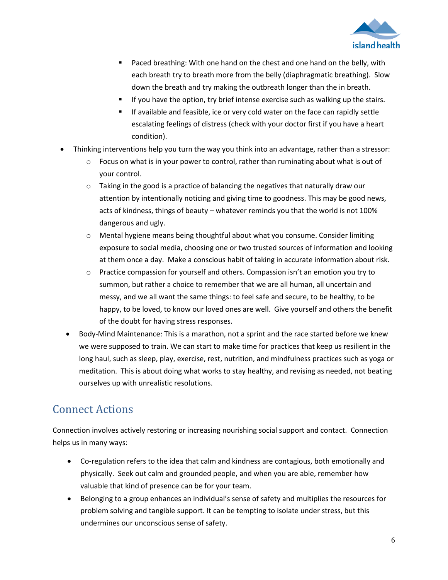

- **Paced breathing: With one hand on the chest and one hand on the belly, with** each breath try to breath more from the belly (diaphragmatic breathing). Slow down the breath and try making the outbreath longer than the in breath.
- If you have the option, try brief intense exercise such as walking up the stairs.
- If available and feasible, ice or very cold water on the face can rapidly settle escalating feelings of distress (check with your doctor first if you have a heart condition).
- Thinking interventions help you turn the way you think into an advantage, rather than a stressor:
	- $\circ$  Focus on what is in your power to control, rather than ruminating about what is out of your control.
	- $\circ$  Taking in the good is a practice of balancing the negatives that naturally draw our attention by intentionally noticing and giving time to goodness. This may be good news, acts of kindness, things of beauty – whatever reminds you that the world is not 100% dangerous and ugly.
	- o Mental hygiene means being thoughtful about what you consume. Consider limiting exposure to social media, choosing one or two trusted sources of information and looking at them once a day. Make a conscious habit of taking in accurate information about risk.
	- $\circ$  Practice compassion for yourself and others. Compassion isn't an emotion you try to summon, but rather a choice to remember that we are all human, all uncertain and messy, and we all want the same things: to feel safe and secure, to be healthy, to be happy, to be loved, to know our loved ones are well. Give yourself and others the benefit of the doubt for having stress responses.
	- Body-Mind Maintenance: This is a marathon, not a sprint and the race started before we knew we were supposed to train. We can start to make time for practices that keep us resilient in the long haul, such as sleep, play, exercise, rest, nutrition, and mindfulness practices such as yoga or meditation. This is about doing what works to stay healthy, and revising as needed, not beating ourselves up with unrealistic resolutions.

# Connect Actions

Connection involves actively restoring or increasing nourishing social support and contact. Connection helps us in many ways:

- Co-regulation refers to the idea that calm and kindness are contagious, both emotionally and physically. Seek out calm and grounded people, and when you are able, remember how valuable that kind of presence can be for your team.
- Belonging to a group enhances an individual's sense of safety and multiplies the resources for problem solving and tangible support. It can be tempting to isolate under stress, but this undermines our unconscious sense of safety.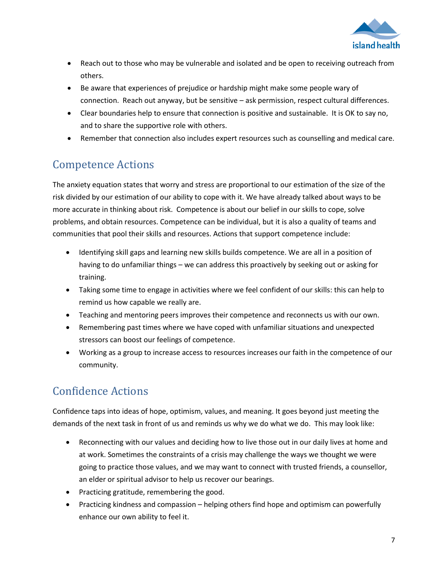

- Reach out to those who may be vulnerable and isolated and be open to receiving outreach from others.
- Be aware that experiences of prejudice or hardship might make some people wary of connection. Reach out anyway, but be sensitive – ask permission, respect cultural differences.
- Clear boundaries help to ensure that connection is positive and sustainable. It is OK to say no, and to share the supportive role with others.
- Remember that connection also includes expert resources such as counselling and medical care.

# Competence Actions

The anxiety equation states that worry and stress are proportional to our estimation of the size of the risk divided by our estimation of our ability to cope with it. We have already talked about ways to be more accurate in thinking about risk. Competence is about our belief in our skills to cope, solve problems, and obtain resources. Competence can be individual, but it is also a quality of teams and communities that pool their skills and resources. Actions that support competence include:

- Identifying skill gaps and learning new skills builds competence. We are all in a position of having to do unfamiliar things – we can address this proactively by seeking out or asking for training.
- Taking some time to engage in activities where we feel confident of our skills: this can help to remind us how capable we really are.
- Teaching and mentoring peers improves their competence and reconnects us with our own.
- Remembering past times where we have coped with unfamiliar situations and unexpected stressors can boost our feelings of competence.
- Working as a group to increase access to resources increases our faith in the competence of our community.

# Confidence Actions

Confidence taps into ideas of hope, optimism, values, and meaning. It goes beyond just meeting the demands of the next task in front of us and reminds us why we do what we do. This may look like:

- Reconnecting with our values and deciding how to live those out in our daily lives at home and at work. Sometimes the constraints of a crisis may challenge the ways we thought we were going to practice those values, and we may want to connect with trusted friends, a counsellor, an elder or spiritual advisor to help us recover our bearings.
- Practicing gratitude, remembering the good.
- Practicing kindness and compassion helping others find hope and optimism can powerfully enhance our own ability to feel it.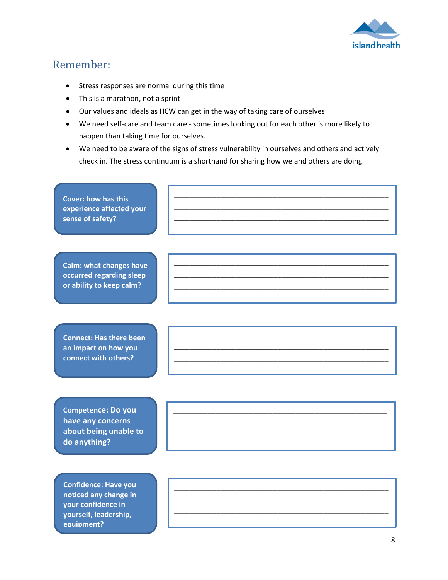

### Remember:

**equipment?**

- Stress responses are normal during this time
- This is a marathon, not a sprint
- Our values and ideals as HCW can get in the way of taking care of ourselves
- We need self-care and team care sometimes looking out for each other is more likely to happen than taking time for ourselves.
- We need to be aware of the signs of stress vulnerability in ourselves and others and actively check in. The stress continuum is a shorthand for sharing how we and others are doing

| <b>Cover: how has this</b><br>experience affected your<br>sense of safety?                          |  |
|-----------------------------------------------------------------------------------------------------|--|
| <b>Calm: what changes have</b><br>occurred regarding sleep<br>or ability to keep calm?              |  |
| <b>Connect: Has there been</b><br>an impact on how you<br>connect with others?                      |  |
| <b>Competence: Do you</b><br>have any concerns<br>about being unable to<br>do anything?             |  |
| <b>Confidence: Have you</b><br>noticed any change in<br>your confidence in<br>yourself, leadership, |  |